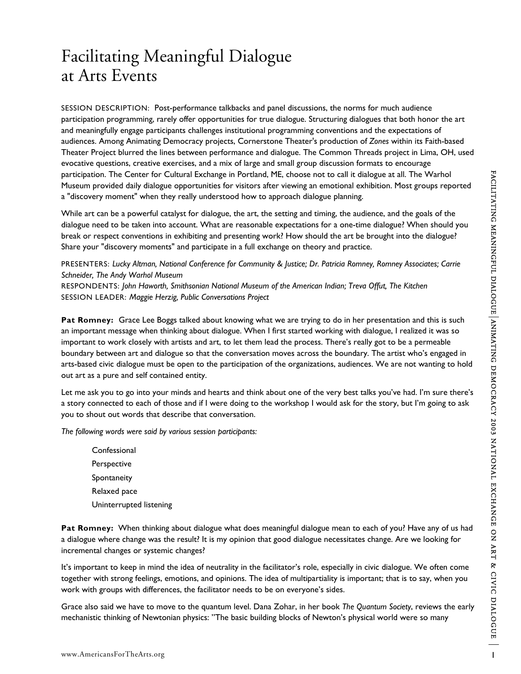## Facilitating Meaningful Dialogue at Arts Events

SESSION DESCRIPTION: Post-performance talkbacks and panel discussions, the norms for much audience participation programming, rarely offer opportunities for true dialogue. Structuring dialogues that both honor the art and meaningfully engage participants challenges institutional programming conventions and the expectations of audiences. Among Animating Democracy projects, Cornerstone Theater's production of *Zones* within its Faith-based Theater Project blurred the lines between performance and dialogue. The Common Threads project in Lima, OH, used evocative questions, creative exercises, and a mix of large and small group discussion formats to encourage participation. The Center for Cultural Exchange in Portland, ME, choose not to call it dialogue at all. The Warhol Museum provided daily dialogue opportunities for visitors after viewing an emotional exhibition. Most groups reported a "discovery moment" when they really understood how to approach dialogue planning.

While art can be a powerful catalyst for dialogue, the art, the setting and timing, the audience, and the goals of the dialogue need to be taken into account. What are reasonable expectations for a one-time dialogue? When should you break or respect conventions in exhibiting and presenting work? How should the art be brought into the dialogue? Share your "discovery moments" and participate in a full exchange on theory and practice.

PRESENTERS: *Lucky Altman, National Conference for Community & Justice; Dr. Patricia Romney, Romney Associates; Carrie Schneider, The Andy Warhol Museum* RESPONDENTS: *John Haworth, Smithsonian National Museum of the American Indian; Treva Offut, The Kitchen* SESSION LEADER: *Maggie Herzig, Public Conversations Project*

**Pat Romney:** Grace Lee Boggs talked about knowing what we are trying to do in her presentation and this is such an important message when thinking about dialogue. When I first started working with dialogue, I realized it was so important to work closely with artists and art, to let them lead the process. There's really got to be a permeable boundary between art and dialogue so that the conversation moves across the boundary. The artist who's engaged in arts-based civic dialogue must be open to the participation of the organizations, audiences. We are not wanting to hold out art as a pure and self contained entity.

Let me ask you to go into your minds and hearts and think about one of the very best talks you've had. I'm sure there's a story connected to each of those and if I were doing to the workshop I would ask for the story, but I'm going to ask you to shout out words that describe that conversation.

*The following words were said by various session participants:*

**Confessional** Perspective Spontaneity Relaxed pace Uninterrupted listening

**Pat Romney:** When thinking about dialogue what does meaningful dialogue mean to each of you? Have any of us had a dialogue where change was the result? It is my opinion that good dialogue necessitates change. Are we looking for incremental changes or systemic changes?

It's important to keep in mind the idea of neutrality in the facilitator's role, especially in civic dialogue. We often come together with strong feelings, emotions, and opinions. The idea of multipartiality is important; that is to say, when you work with groups with differences, the facilitator needs to be on everyone's sides.

Grace also said we have to move to the quantum level. Dana Zohar, in her book *The Quantum Society*, reviews the early mechanistic thinking of Newtonian physics: "The basic building blocks of Newton's physical world were so many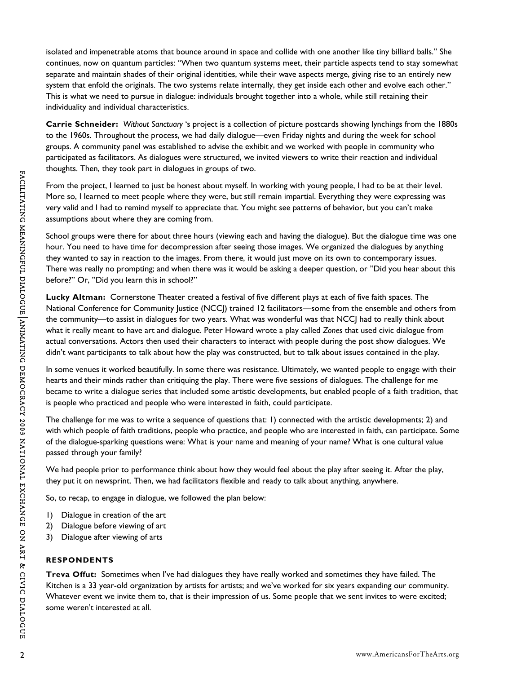isolated and impenetrable atoms that bounce around in space and collide with one another like tiny billiard balls." She continues, now on quantum particles: "When two quantum systems meet, their particle aspects tend to stay somewhat separate and maintain shades of their original identities, while their wave aspects merge, giving rise to an entirely new system that enfold the originals. The two systems relate internally, they get inside each other and evolve each other." This is what we need to pursue in dialogue: individuals brought together into a whole, while still retaining their individuality and individual characteristics.

**Carrie Schneider:** *Without Sanctuary* 's project is a collection of picture postcards showing lynchings from the 1880s to the 1960s. Throughout the process, we had daily dialogue—even Friday nights and during the week for school groups. A community panel was established to advise the exhibit and we worked with people in community who participated as facilitators. As dialogues were structured, we invited viewers to write their reaction and individual thoughts. Then, they took part in dialogues in groups of two.

From the project, I learned to just be honest about myself. In working with young people, I had to be at their level. More so, I learned to meet people where they were, but still remain impartial. Everything they were expressing was very valid and I had to remind myself to appreciate that. You might see patterns of behavior, but you can't make assumptions about where they are coming from.

School groups were there for about three hours (viewing each and having the dialogue). But the dialogue time was one hour. You need to have time for decompression after seeing those images. We organized the dialogues by anything they wanted to say in reaction to the images. From there, it would just move on its own to contemporary issues. There was really no prompting; and when there was it would be asking a deeper question, or "Did you hear about this before?" Or, "Did you learn this in school?"

**Lucky Altman:** Cornerstone Theater created a festival of five different plays at each of five faith spaces. The National Conference for Community Justice (NCCJ) trained 12 facilitators—some from the ensemble and others from the community—to assist in dialogues for two years. What was wonderful was that NCCJ had to really think about what it really meant to have art and dialogue. Peter Howard wrote a play called *Zones* that used civic dialogue from actual conversations. Actors then used their characters to interact with people during the post show dialogues. We didn't want participants to talk about how the play was constructed, but to talk about issues contained in the play.

In some venues it worked beautifully. In some there was resistance. Ultimately, we wanted people to engage with their hearts and their minds rather than critiquing the play. There were five sessions of dialogues. The challenge for me became to write a dialogue series that included some artistic developments, but enabled people of a faith tradition, that is people who practiced and people who were interested in faith, could participate.

The challenge for me was to write a sequence of questions that: 1) connected with the artistic developments; 2) and with which people of faith traditions, people who practice, and people who are interested in faith, can participate. Some of the dialogue-sparking questions were: What is your name and meaning of your name? What is one cultural value passed through your family?

We had people prior to performance think about how they would feel about the play after seeing it. After the play, they put it on newsprint. Then, we had facilitators flexible and ready to talk about anything, anywhere.

So, to recap, to engage in dialogue, we followed the plan below:

- 1) Dialogue in creation of the art
- 2) Dialogue before viewing of art
- 3) Dialogue after viewing of arts

## **RESPONDENTS**

**Treva Offut:** Sometimes when I've had dialogues they have really worked and sometimes they have failed. The Kitchen is a 33 year-old organization by artists for artists; and we've worked for six years expanding our community. Whatever event we invite them to, that is their impression of us. Some people that we sent invites to were excited; some weren't interested at all.